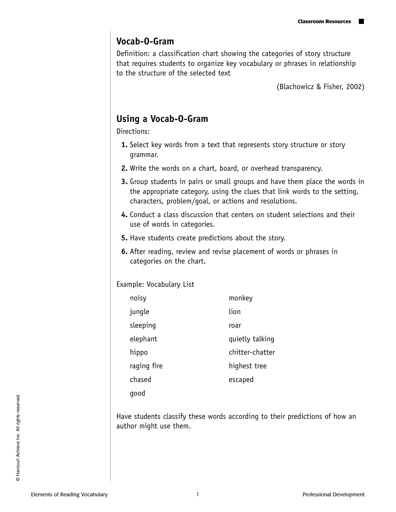## **Vocab-O-Gram**

Definition: a classification chart showing the categories of story structure that requires students to organize key vocabulary or phrases in relationship to the structure of the selected text

(Blachowicz & Fisher, 2002)

## **Using a Vocab-O-Gram**

Directions:

- **1.** Select key words from a text that represents story structure or story grammar.
- **2.** Write the words on a chart, board, or overhead transparency.
- **3.** Group students in pairs or small groups and have them place the words in the appropriate category, using the clues that link words to the setting, characters, problem/goal, or actions and resolutions.
- **4.** Conduct a class discussion that centers on student selections and their use of words in categories.
- **5.** Have students create predictions about the story.
- **6.** After reading, review and revise placement of words or phrases in categories on the chart.

Example: Vocabulary List

| noisy       | monkey          |
|-------------|-----------------|
| jungle      | lion            |
| sleeping    | roar            |
| elephant    | quietly talking |
| hippo       | chitter-chatter |
| raging fire | highest tree    |
| chased      | escaped         |
| qood        |                 |

Have students classify these words according to their predictions of how an author might use them.